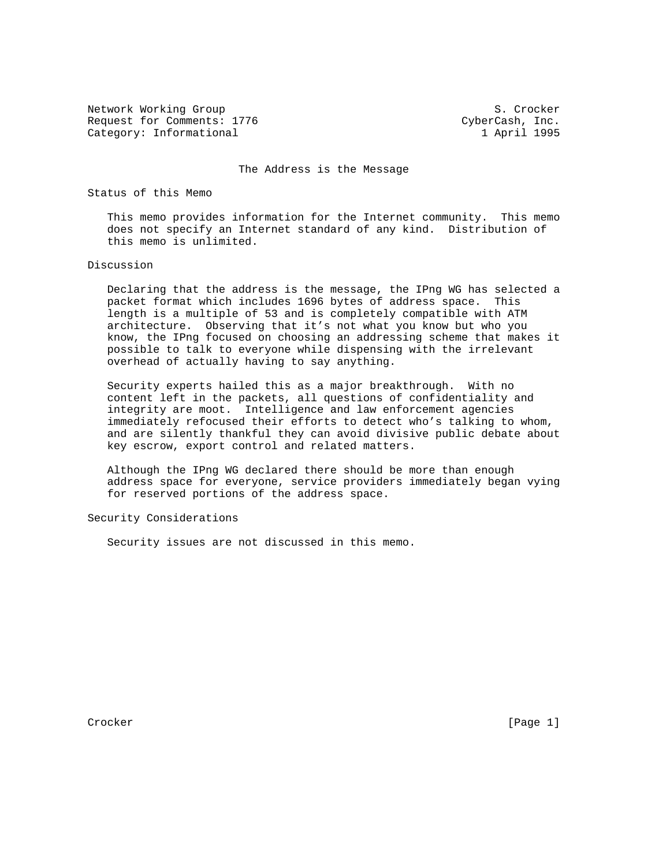Network Working Group S. Crocker Request for Comments: 1776 CyberCash, Inc. Category: Informational 1 1 April 1995

The Address is the Message

Status of this Memo

 This memo provides information for the Internet community. This memo does not specify an Internet standard of any kind. Distribution of this memo is unlimited.

## Discussion

 Declaring that the address is the message, the IPng WG has selected a packet format which includes 1696 bytes of address space. This length is a multiple of 53 and is completely compatible with ATM architecture. Observing that it's not what you know but who you know, the IPng focused on choosing an addressing scheme that makes it possible to talk to everyone while dispensing with the irrelevant overhead of actually having to say anything.

 Security experts hailed this as a major breakthrough. With no content left in the packets, all questions of confidentiality and integrity are moot. Intelligence and law enforcement agencies immediately refocused their efforts to detect who's talking to whom, and are silently thankful they can avoid divisive public debate about key escrow, export control and related matters.

 Although the IPng WG declared there should be more than enough address space for everyone, service providers immediately began vying for reserved portions of the address space.

Security Considerations

Security issues are not discussed in this memo.

Crocker [Page 1]